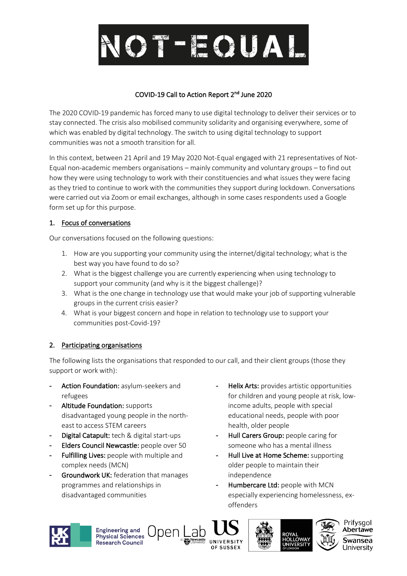# NOT-EQUAL

# COVID-19 Call to Action Report 2nd June 2020

The 2020 COVID-19 pandemic has forced many to use digital technology to deliver their services or to stay connected. The crisis also mobilised community solidarity and organising everywhere, some of which was enabled by digital technology. The switch to using digital technology to support communities was not a smooth transition for all.

In this context, between 21 April and 19 May 2020 Not-Equal engaged with 21 representatives of Not-Equal non-academic members organisations – mainly community and voluntary groups – to find out how they were using technology to work with their constituencies and what issues they were facing as they tried to continue to work with the communities they support during lockdown. Conversations were carried out via Zoom or email exchanges, although in some cases respondents used a Google form set up for this purpose.

# 1. Focus of conversations

Our conversations focused on the following questions:

- 1. How are you supporting your community using the internet/digital technology; what is the best way you have found to do so?
- 2. What is the biggest challenge you are currently experiencing when using technology to support your community (and why is it the biggest challenge)?
- 3. What is the one change in technology use that would make your job of supporting vulnerable groups in the current crisis easier?
- 4. What is your biggest concern and hope in relation to technology use to support your communities post-Covid-19?

# 2. Participating organisations

The following lists the organisations that responded to our call, and their client groups (those they support or work with):

- Action Foundation: asylum-seekers and refugees
- Altitude Foundation: supports disadvantaged young people in the northeast to access STEM careers
- Digital Catapult: tech & digital start-ups
- Elders Council Newcastle: people over 50
- Fulfilling Lives: people with multiple and complex needs (MCN)
- Groundwork UK: federation that manages programmes and relationships in disadvantaged communities
- Helix Arts: provides artistic opportunities for children and young people at risk, lowincome adults, people with special educational needs, people with poor health, older people
- Hull Carers Group: people caring for someone who has a mental illness
- Hull Live at Home Scheme: supporting older people to maintain their independence
- Humbercare Ltd: people with MCN especially experiencing homelessness, exoffenders



**Engineering and<br>Physical Sciences** Research Council



Jnen





Prifysgol Abertawe Swansea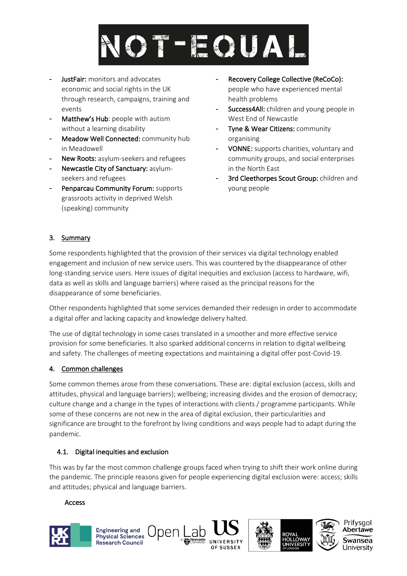

- JustFair: monitors and advocates economic and social rights in the UK through research, campaigns, training and events
- Matthew's Hub: people with autism without a learning disability
- Meadow Well Connected: community hub in Meadowell
- New Roots: asylum-seekers and refugees
- Newcastle City of Sanctuary: asylumseekers and refugees
- Penparcau Community Forum: supports grassroots activity in deprived Welsh (speaking) community
- Recovery College Collective (ReCoCo): people who have experienced mental health problems
- Success4All: children and young people in West End of Newcastle
- Tyne & Wear Citizens: community organising
- VONNE: supports charities, voluntary and community groups, and social enterprises in the North East
- 3rd Cleethorpes Scout Group: children and young people

Prifysgol Abertawe

wansea

Iniversity

# 3. Summary

Some respondents highlighted that the provision of their services via digital technology enabled engagement and inclusion of new service users. This was countered by the disappearance of other long-standing service users. Here issues of digital inequities and exclusion (access to hardware, wifi, data as well as skills and language barriers) where raised as the principal reasons for the disappearance of some beneficiaries.

Other respondents highlighted that some services demanded their redesign in order to accommodate a digital offer and lacking capacity and knowledge delivery halted.

The use of digital technology in some cases translated in a smoother and more effective service provision for some beneficiaries. It also sparked additional concerns in relation to digital wellbeing and safety. The challenges of meeting expectations and maintaining a digital offer post-Covid-19.

#### 4. Common challenges

Some common themes arose from these conversations. These are: digital exclusion (access, skills and attitudes, physical and language barriers); wellbeing; increasing divides and the erosion of democracy; culture change and a change in the types of interactions with clients / programme participants. While some of these concerns are not new in the area of digital exclusion, their particularities and significance are brought to the forefront by living conditions and ways people had to adapt during the pandemic.

# 4.1. Digital inequities and exclusion

**Engineering and** 

Physical Sciences

**Research Council** 

This was by far the most common challenge groups faced when trying to shift their work online during the pandemic. The principle reasons given for people experiencing digital exclusion were: access; skills and attitudes; physical and language barriers.

Jnen

#### Access

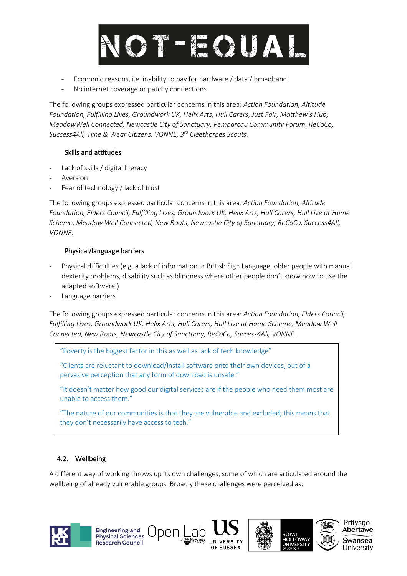

- Economic reasons, i.e. inability to pay for hardware / data / broadband
- No internet coverage or patchy connections

The following groups expressed particular concerns in this area: *Action Foundation, Altitude Foundation, Fulfilling Lives, Groundwork UK, Helix Arts, Hull Carers, Just Fair, Matthew's Hub, MeadowWell Connected, Newcastle City of Sanctuary, Pemparcau Community Forum, ReCoCo, Success4All, Tyne & Wear Citizens, VONNE, 3rd Cleethorpes Scouts.*

#### Skills and attitudes

- Lack of skills / digital literacy
- **Aversion**
- Fear of technology / lack of trust

The following groups expressed particular concerns in this area: *Action Foundation, Altitude Foundation, Elders Council, Fulfilling Lives, Groundwork UK, Helix Arts, Hull Carers, Hull Live at Home Scheme, Meadow Well Connected, New Roots, Newcastle City of Sanctuary, ReCoCo, Success4All, VONNE.*

#### Physical/language barriers

- Physical difficulties (e.g. a lack of information in British Sign Language, older people with manual dexterity problems, disability such as blindness where other people don't know how to use the adapted software.)
- Language barriers

The following groups expressed particular concerns in this area: *Action Foundation, Elders Council, Fulfilling Lives, Groundwork UK, Helix Arts, Hull Carers, Hull Live at Home Scheme, Meadow Well Connected, New Roots, Newcastle City of Sanctuary, ReCoCo, Success4All, VONNE.*

"Poverty is the biggest factor in this as well as lack of tech knowledge"

)nen

"Clients are reluctant to download/install software onto their own devices, out of a pervasive perception that any form of download is unsafe."

"It doesn't matter how good our digital services are if the people who need them most are unable to access them."

"The nature of our communities is that they are vulnerable and excluded; this means that they don't necessarily have access to tech."

# 4.2. Wellbeing

**Engineering and<br>Physical Sciences** 

**Research Council** 

A different way of working throws up its own challenges, some of which are articulated around the wellbeing of already vulnerable groups. Broadly these challenges were perceived as:

Prifysgol

Abertawe

wansea

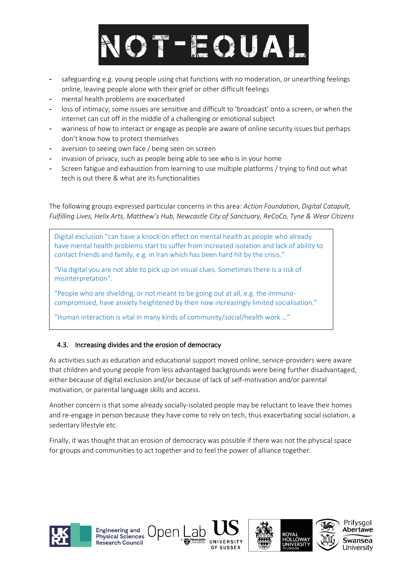

- safeguarding e.g. young people using chat functions with no moderation, or unearthing feelings online, leaving people alone with their grief or other difficult feelings
- mental health problems are exacerbated
- loss of intimacy; some issues are sensitive and difficult to 'broadcast' onto a screen, or when the internet can cut off in the middle of a challenging or emotional subject
- wariness of how to interact or engage as people are aware of online security issues but perhaps don't know how to protect themselves
- aversion to seeing own face / being seen on screen
- invasion of privacy, such as people being able to see who is in your home
- Screen fatigue and exhaustion from learning to use multiple platforms / trying to find out what tech is out there & what are its functionalities

The following groups expressed particular concerns in this area: *Action Foundation, Digital Catapult, Fulfilling Lives, Helix Arts, Matthew's Hub, Newcastle City of Sanctuary, ReCoCo, Tyne & Wear Citizens*

Digital exclusion "can have a knock-on effect on mental health as people who already have mental health problems start to suffer from increased isolation and lack of ability to contact friends and family, e.g. in Iran which has been hard hit by the crisis."

"Via digital you are not able to pick up on visual clues. Sometimes there is a risk of misinterpretation".

"People who are shielding, or not meant to be going out at all, e.g. the immunocompromised, have anxiety heightened by their now increasingly limited socialisation."

"Human interaction is vital in many kinds of community/social/health work …"

Jnen

# 4.3. Increasing divides and the erosion of democracy

As activities such as education and educational support moved online, service-providers were aware that children and young people from less advantaged backgrounds were being further disadvantaged, either because of digital exclusion and/or because of lack of self-motivation and/or parental motivation, or parental language skills and access.

Another concern is that some already socially-isolated people may be reluctant to leave their homes and re-engage in person because they have come to rely on tech, thus exacerbating social isolation, a sedentary lifestyle etc.

Finally, it was thought that an erosion of democracy was possible if there was not the physical space for groups and communities to act together and to feel the power of alliance together.

Prifysgol

Abertawe

wansea

Iniversity



**Engineering and<br>Physical Sciences** 

Research Council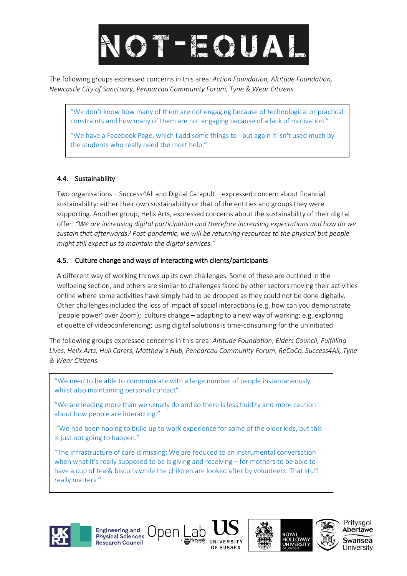# NOT-EQUAL

The following groups expressed concerns in this area: *Action Foundation, Altitude Foundation, Newcastle City of Sanctuary, Penparcau Community Forum, Tyne & Wear Citizens*

"We don't know how many of them are not engaging because of technological or practical constraints and how many of them are not engaging because of a lack of motivation."

"We have a Facebook Page, which I add some things to - but again it isn't used much by the students who really need the most help."

# 4.4. Sustainability

Two organisations – Success4All and Digital Catapult – expressed concern about financial sustainability: either their own sustainability or that of the entities and groups they were supporting. Another group, Helix Arts, expressed concerns about the sustainability of their digital offer: *"We are increasing digital participation and therefore increasing expectations and how do we sustain that afterwards? Post-pandemic, we will be returning resources to the physical but people might still expect us to maintain the digital services."*

#### 4.5. Culture change and ways of interacting with clients/participants

A different way of working throws up its own challenges. Some of these are outlined in the wellbeing section, and others are similar to challenges faced by other sectors moving their activities online where some activities have simply had to be dropped as they could not be done digitally. Other challenges included the loss of impact of social interactions (e.g. how can you demonstrate 'people power' over Zoom); culture change – adapting to a new way of working: e.g. exploring etiquette of videoconferencing; using digital solutions is time-consuming for the uninitiated.

The following groups expressed concerns in this area: *Altitude Foundation, Elders Council, Fulfilling Lives, Helix Arts, Hull Carers, Matthew's Hub, Penparcau Community Forum, ReCoCo, Success4All, Tyne & Wear Citizens.*

"We need to be able to communicate with a large number of people instantaneously whilst also maintaining personal contact"

"We are leading more than we usually do and so there is less fluidity and more caution about how people are interacting."

"We had been hoping to build up to work experience for some of the older kids, but this is just not going to happen."

"The infrastructure of care is missing: We are reduced to an instrumental conversation when what it's really supposed to be is giving and receiving – for mothers to be able to have a cup of tea & biscuits while the children are looked after by volunteers. That stuff really matters."

Jpen l











Swansea Jniversitv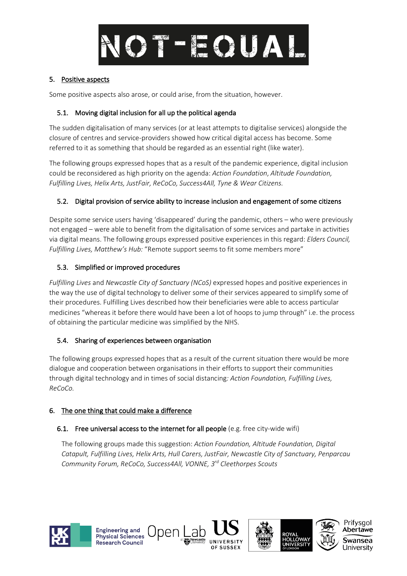

#### 5. Positive aspects

Some positive aspects also arose, or could arise, from the situation, however.

#### 5.1. Moving digital inclusion for all up the political agenda

The sudden digitalisation of many services (or at least attempts to digitalise services) alongside the closure of centres and service-providers showed how critical digital access has become. Some referred to it as something that should be regarded as an essential right (like water).

The following groups expressed hopes that as a result of the pandemic experience, digital inclusion could be reconsidered as high priority on the agenda: *Action Foundation*, *Altitude Foundation, Fulfilling Lives, Helix Arts, JustFair, ReCoCo, Success4All, Tyne & Wear Citizens.*

#### 5.2. Digital provision of service ability to increase inclusion and engagement of some citizens

Despite some service users having 'disappeared' during the pandemic, others – who were previously not engaged – were able to benefit from the digitalisation of some services and partake in activities via digital means. The following groups expressed positive experiences in this regard: *Elders Council, Fulfilling Lives, Matthew's Hub:* "Remote support seems to fit some members more"

#### 5.3. Simplified or improved procedures

*Fulfilling Lives* and *Newcastle City of Sanctuary (NCoS)* expressed hopes and positive experiences in the way the use of digital technology to deliver some of their services appeared to simplify some of their procedures. Fulfilling Lives described how their beneficiaries were able to access particular medicines "whereas it before there would have been a lot of hoops to jump through" i.e. the process of obtaining the particular medicine was simplified by the NHS.

#### 5.4. Sharing of experiences between organisation

The following groups expressed hopes that as a result of the current situation there would be more dialogue and cooperation between organisations in their efforts to support their communities through digital technology and in times of social distancing*: Action Foundation, Fulfilling Lives, ReCoCo.* 

#### 6. The one thing that could make a difference

**Engineering and<br>Physical Sciences** 

**Research Council** 

#### 6.1. Free universal access to the internet for all people (e.g. free city-wide wifi)

Upen

The following groups made this suggestion: *Action Foundation, Altitude Foundation, Digital Catapult, Fulfilling Lives, Helix Arts, Hull Carers, JustFair, Newcastle City of Sanctuary, Penparcau Community Forum, ReCoCo, Success4All, VONNE, 3rd Cleethorpes Scouts*

Prifysgol

Abertawe

wansea